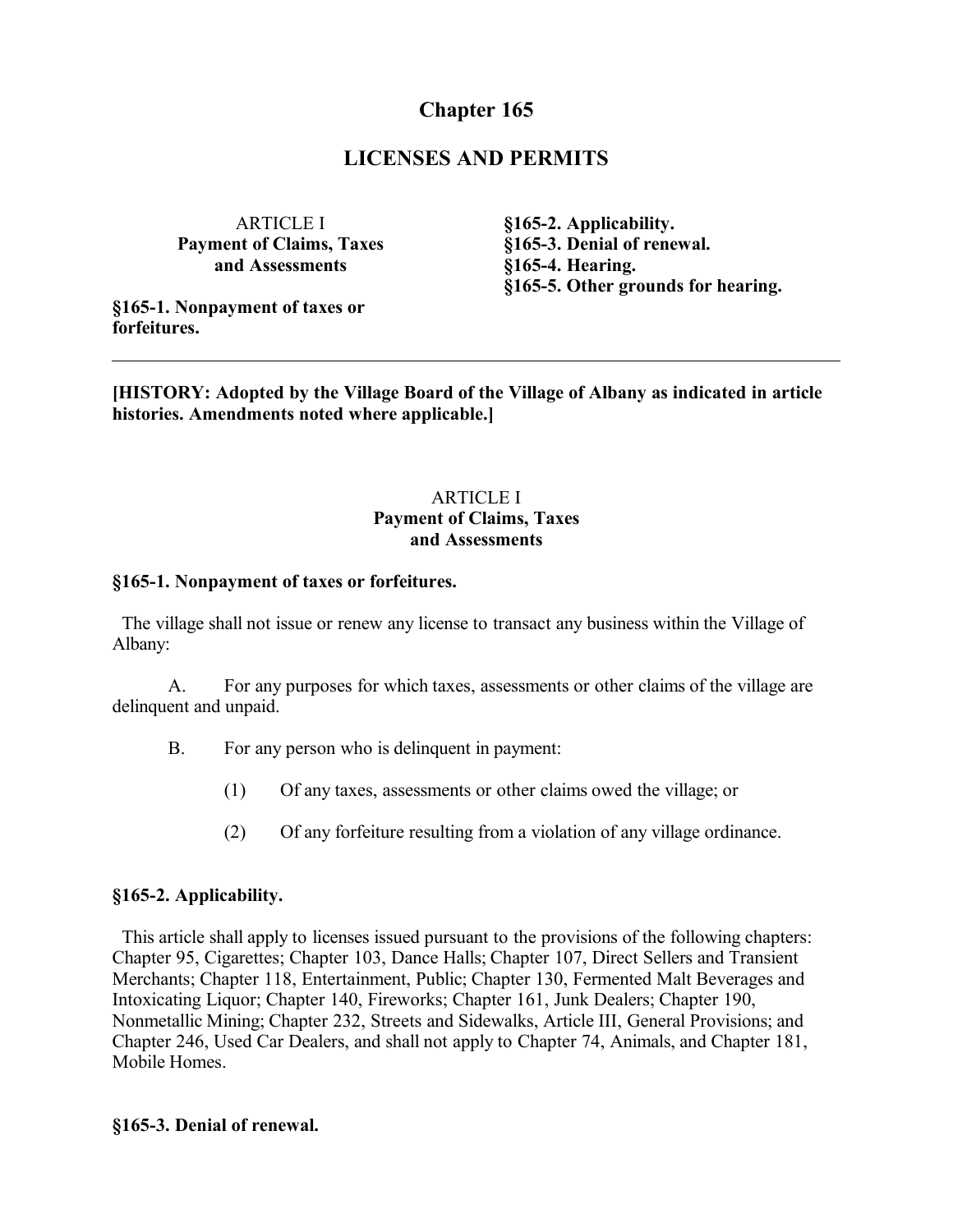# **Chapter 165**

## **LICENSES AND PERMITS**

ARTICLE I **Payment of Claims, Taxes and Assessments**

**§165-1. Nonpayment of taxes or forfeitures.**

**§165-2. Applicability. §165-3. Denial of renewal. §165-4. Hearing. §165-5. Other grounds for hearing.**

**[HISTORY: Adopted by the Village Board of the Village of Albany as indicated in article histories. Amendments noted where applicable.]**

## ARTICLE I **Payment of Claims, Taxes and Assessments**

#### **§165-1. Nonpayment of taxes or forfeitures.**

 The village shall not issue or renew any license to transact any business within the Village of Albany:

A. For any purposes for which taxes, assessments or other claims of the village are delinquent and unpaid.

- B. For any person who is delinquent in payment:
	- (1) Of any taxes, assessments or other claims owed the village; or
	- (2) Of any forfeiture resulting from a violation of any village ordinance.

#### **§165-2. Applicability.**

 This article shall apply to licenses issued pursuant to the provisions of the following chapters: Chapter 95, Cigarettes; Chapter 103, Dance Halls; Chapter 107, Direct Sellers and Transient Merchants; Chapter 118, Entertainment, Public; Chapter 130, Fermented Malt Beverages and Intoxicating Liquor; Chapter 140, Fireworks; Chapter 161, Junk Dealers; Chapter 190, Nonmetallic Mining; Chapter 232, Streets and Sidewalks, Article III, General Provisions; and Chapter 246, Used Car Dealers, and shall not apply to Chapter 74, Animals, and Chapter 181, Mobile Homes.

#### **§165-3. Denial of renewal.**